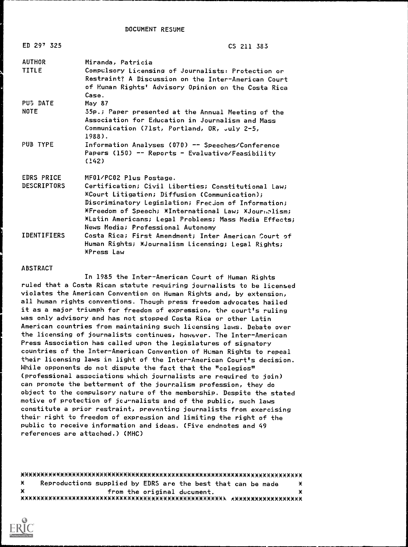DOCUMENT RESUME

| ED 297 325                              | CS 211 383                                                                                                                                                                                                                                                                                                                                                                                                           |
|-----------------------------------------|----------------------------------------------------------------------------------------------------------------------------------------------------------------------------------------------------------------------------------------------------------------------------------------------------------------------------------------------------------------------------------------------------------------------|
| AUTHOR<br>TITLE                         | Miranda, Patricia<br>Compulsory Licensing of Journalists: Protection or<br>Restraint? A Discussion on the Inter-American Court<br>of Human Rights' Advisory Opinion on the Costa Rica<br>Case.                                                                                                                                                                                                                       |
| <b>PUS DATE</b><br><b>NOTE</b>          | May 87<br>35p.; Paper presented at the Annual Meeting of the<br>Association for Education in Journalism and Mass<br>Communication (71st, Portland, OR, July 2-5,<br>1988).                                                                                                                                                                                                                                           |
| PUB TYPE                                | Information Analyses (070) -- Speeches/Conference<br>Papers (150) -- Reports - Evaluative/Feasibility<br>(142)                                                                                                                                                                                                                                                                                                       |
| <b>EDRS PRICE</b><br><b>DESCRIPTORS</b> | MF01/PC02 Plus Postage.<br>Certification; Civil Liberties; Constitutional Law;<br><b>Example 2.5 Example 12.5 Example 2.5 Example 2.5 Example 2.5 Example 2.5 Example 2.5 Example 2.5 Example 2.5 E</b><br>Discriminatory Legislation; Frecjom of Information;<br>*Freedom of Speech; *International Law; *Journalism;<br>*Latin Americans; Legal Problems; Mass Media Effects;<br>News Media; Professional Autonomy |
| <b>IDENTIFIERS</b>                      | Costa Rica; First Amendment; Inter American Court of<br>Human Rights; *Journalism Licensing; Legal Rights;<br>XPress Law                                                                                                                                                                                                                                                                                             |

#### ABSTRACT

In 1985 the Inter-American Court of Human Rights ruled that a Costa Rican statute requiring journalists to be licensed violates the American Convention on Human Rights and, by extension, all human rights conventions. Though press freedom advocates hailed it as a major triumph for freedom of expression, the court's ruling was only advisory and has not stopped Costa Rica or other Latin American countries from maintaining such licensing laws. Debate over the licensing of journalists continues, however. The Inter-American Press Association has called upon the legislatures of signatory countries of the Inter-American Convention of Human Rights to repeal their licensing laws in light of the Inter-American Court's decision. While opponents do not dispute the fact that the "colegios" (professional associations which journalists are required to join) can promote the betterment of the journalism profession, they do object to the compulsory nature of the membership. Despite the stated motive of protection of journalists and of the public, such laws constitute a prior restraint, preventing journalists from exercising their right to freedom of expression and limiting the right of the public to receive information and ideas. (Five endnotes and 49 references are attached.) (MHC)

xxxxxxxxxxxxxxxxxxxxxxxxxxxxxxxxxxxxxxxxxxxxxxxxxxxxxxxxxxxxxxxxxxxxxxx X Reproductions supplied by EDRS are the best that can be made × from the original ducument. ¥ XXXXX\*\*X\*XXXXXX\*XXXXXXXXXXXXXXXXXXXXXXX\*XXXXXXXXXXXX AX\*XXXX\*XXXXXXXXXX

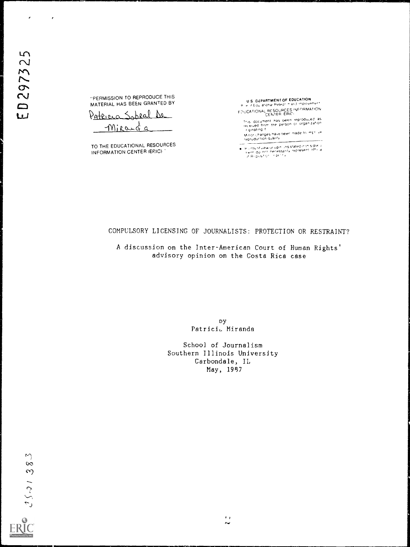$\epsilon$ 

 $\pmb{r}$ 

"PERMISSION TO REPRODUCE THIS MATERIAL HAS BEEN GRANTED BY

Pateraca Sobral De Mirange

TO THE EDUCATIONAL RESOURCES INFORMATION CENTER (ERIC)

U S. DEPARTMENT OF EDUCATION Edul ational Resear. In ari3 improvemer f EDUCATIONAL RESOURCES INFORMATION

This document has been reproduced as<br>rieceived from the person or organization<br>Minor changes have been made to mst. representation<br>Minor changes have been made to mst. representation quality

v, its of vew or opin, insistated in this document of the present of the duty of the proster of the duty of the proster of the duty of the proster of the duty of the proster of the duty of the proster of the duty of the pr

# COMPULSORY LICENSING OF JOURNALISTS: PROTECTION OR RESTRAINT?

A discussion on the Inter-American Court of Human Rights' advisory opinion on the Costa Rica case

> Dy Patricia. Miranda

School of Journalism Southern Illinois University Carbondale, IL May, 1987

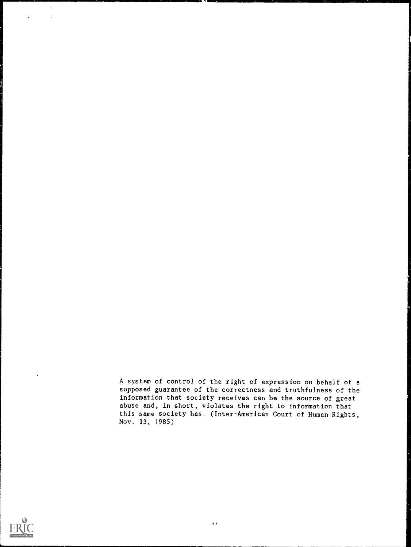A system of control of the right of expression on behalf of a supposed guarantee of the correctness and truthfulness of the information that society receives can be the source of great abuse and, in short, violates the right to information that this same society has. (Inter-American Court of Human Rights, Nov. 13, 1985)



 $\ddot{\phantom{0}}$ 

 $\mathbb{Z}^2$  $\hat{\boldsymbol{r}}$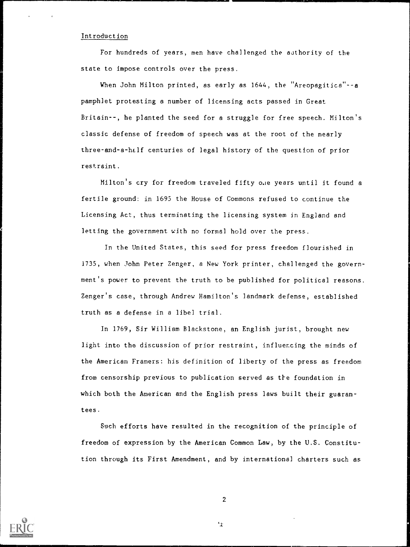### Introduction

For hundreds of years, men have challenged the authority of the state to impose controls over the press.

When John Milton printed, as early as 1644, the "Areopagitica"--a pamphlet protesting a number of licensing acts passed in Great Britain--, he planted the seed for a struggle for free speech. Milton's classic defense of freedom of speech was at the root of the nearly three-and-a-hLlf centuries of legal history of the question of prior restraint.

Milton's cry for freedom traveled fifty one years until it found a fertile ground: in 1695 the House of Commons refused to continue the Licensing Act, thus terminating the licensing system in England and letting the government with no formal hold over the press.

In the United States, this seed for press freedom flourished in 1735, when John Peter Zenger, a New York printer, challenged the government's power to prevent the truth to be published for political reasons. Zenger's case, through Andrew Hamilton's landmark defense, established truth as a defense in a libel trial.

In 1769, Sir William Blackstone, an English jurist, brought new light into the discussion of prior restraint, influencing the minds of the American Framers: his definition of liberty of the press as freedom from censorship previous to publication served as the foundation in which both the American and the English press laws built their guarantees.

Such efforts have resulted in the recognition of the principle of freedom of expression by the American Common Law, by the U.S. Constitution through its First Amendment, and by international charters such as



2

 $\mathbf{r}$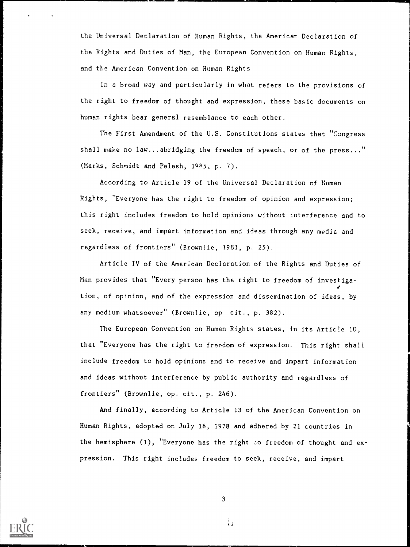the Universal Declaration of Human Rights, the American Declaration of the Rights and Duties of Man, the European Convention on Human Rights, and the American Convention on Human Rights

In a broad way and particularly in what refers to the provisions of the right to freedom of thought and expression, these basic documents on human rights bear general resemblance to each other.

The First Amendment of the U.S. Constitutions states that "Congress shall make no law...abridging the freedom of speech, or of the press..." (Marks, Schmidt and Pelesh, 1985, p. 7).

According to Article 19 of the Universal Declaration of Human Rights, "Everyone has the right to freedom of opinion and expression; this right includes freedom to hold opinions without interference and to seek, receive, and impart information and ideas through any media and regardless of frontiers" (Brownlie, 1981, p. 25).

Article IV of the American Declaration of the Rights and Duties of Man provides that "Every person has the right to freedom of investigation, of opinion, and of the expression and dissemination of ideas, by any medium whatsoever" (Brownlie, op cit., p. 382).

The European Convention on Human Rights states, in its Article 10, that "Everyone has the right to freedom of expression. This right shall include freedom to hold opinions and to receive and impart information and ideas without interference by public authority and regardless of frontiers" (Brownlie, op. cit., p. 246).

And finally, according to Article 13 of the American Convention on Human Rights, adopted on July 18, 1978 and adhered by 21 countries in the hemisphere  $(1)$ , "Everyone has the right  $\infty$  freedom of thought and expression. This right includes freedom to seek, receive, and impart



3

را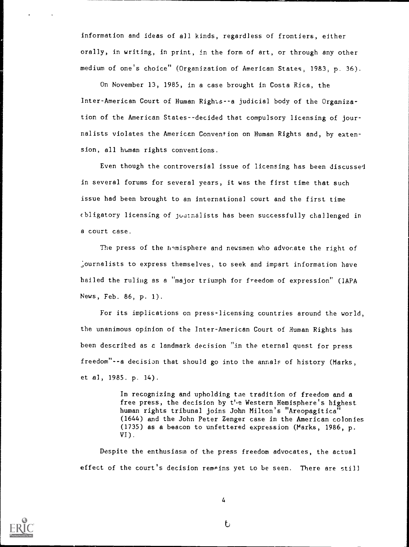information and ideas of all kinds, regardless of frontiers, either orally, in writing, in print, in the form of art, or through any other medium of one's choice" (0r2anization of American States, 1983; p. 36).

On November 13, 1985, in a case brought in Costa Rica, the Inter-American Court of Human Rights--a judicial body of the Organization of the American States--decided that compulsory licensing of journalists violates the American Convention on Human Rights and, by extension, all human rights conventions.

Even though the controversial issue of licensing has been discussed in several forums for several years, it was the first time that such issue had been brought to an international court and the first time obligatory licensing of jouthalists has been successfully challenged in a court case.

The press of the h-misphere and newsmen who advocate the right of , ournalists to express themselves, to seek and impart information have hailed the ruling as a "major triumph for freedom of expression" (IAPA News, Feb. 86, p. 1).

For its implications on press-licensing countries around the world, the unanimous opinion of the Inter-American Court of Human Rights has been described as a landmark decision "in the eternal quest for press freedom"--a decision that should go into the annals of history (Marks, et al, 1985. p. 14).

> In recognizing and upholding tae tradition of freedom and a free press, the decision by the Western Hemisphere's highest human rights tribunal joins John Milton's "Areopagitica" (1644) and the John Peter Zenger case in the American colonies (1735) as a beacon to unfettered expression (Marks, 1986, p. VI).

Despite the enthusiasm of the press freedom advocates, the actual effect of the court's decision remains yet to be seen. There are still



4

 $\mathbf{t}$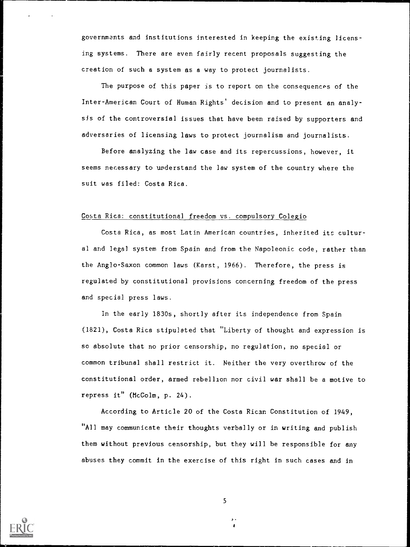governments and institutions interested in keeping the existing licensing systems. There are even fairly recent proposals suggesting the creation of such a system as a way to protect journalists.

The purpose of this paper is to report on the consequences of the Inter-American Court of Human Rights' decision and to present an analysis of the controversial issues that have been raised by supporters and adversaries of licensing laws to protect journalism and journalists.

Before analyzing the law case and its repercussions, however, it seems necessary to understand the law system of the country where the suit was filed: Costa Rica.

## Costa Rica: constitutional freedom vs. compulsory Colegio

Costa Rica, as most Latin American countries, inherited its cultural and legal system from Spain and from the Napoleonic code, rather than the Anglo-Saxon common laws (Karst, 1966). Therefore, the press is regulated by constitutional provisions concerning freedom of the press and special press laws.

In the early 1830s, shortly after its independence from Spain (1821), Costa Rica stipulated that "Liberty of thought and expression is so absolute that no prior censorship, no regulation, no special or common tribunal shall restrict it. Neither the very overthrow of the constitutional order, armed rebellion nor civil war shall be a motive to repress it" (McColm, p. 24).

According to Article 20 of the Costa Rican Constitution of 1949, "All may communicate their thoughts verbally or in writing and publish them without previous censorship, but they will be responsible for any abuses they commit in the exercise of this right in such cases and in

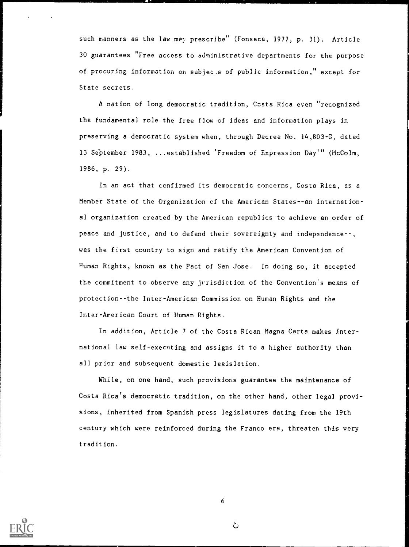such manners as the law may prescribe" (Fonseca, 1977, p. 31). Article 30 guarantees "Free access to ddministrative departments for the purpose of procuring information on subjec.s of public information," except for State secrets.

A nation of long democratic tradition, Costa Rica even "recognized the fundamental role the free flow of ideas and information plays in preserving a democratic system when, through Decree No. 14,803-G, dated 13 September 1983, ...established 'Freedom of Expression Day" (HcColm, 1986, p. 29).

In an act that confirmed its democratic concerns, Costa Rica, as a Member State of the Organization cf the American States--an international organization created by the American republics to achieve an order of peace and justice, and to defend their sovereignty and independence--, was the first country to sign and ratify the American Convention of Human Rights, known as the Pact of San Jose. In doing so, it accepted the commitment to observe any jrrisdiction of the Convention's means of protection--the Inter-American Commission on Human Rights and the Inter-American Court of Human Rights.

In addition, Article 7 of the Costa Rican Magna Carta makes international law self-executing and assigns it to a higher authority than all prior and subsequent domestic legislation.

While, on one hand, such provisions guarantee the maintenance of Costa Rica's democratic tradition, on the other hand, other legal provisions, inherited from Spanish press legislatures dating from the 19th century which were reinforced during the Franco era, threaten this very tradition.



ن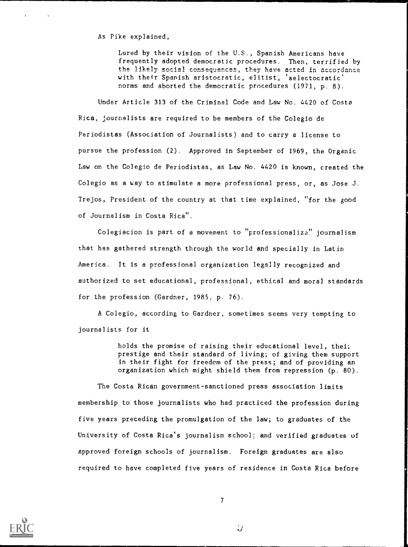As Pike explained,

Lured by their vision of the U.S., Spanish Americans have frequently adopted democratic procedures. Then, terrified by the likely social consequences, they have acted in accordance with their Spanish aristocratic, elitist, 'selectocratic' norms and aborted the democratic procedures (1971, p. 8).

Under Article 313 of the Criminal Code and Law No. 4420 of Costa Rica, journalists are required to be members of the Colegio de Periodistas (Association of Journalists) and to carry a license to pursue the profession (2). Approved in September of 1969, the Organic Law on the Colegio de Periodistas, as Law No. 4420 is known, created the Colegio as a way to stimulate a more professional press, or, as Jose J. Trejos, President of the country at that time explained, "for the good of Journalism in Costa Rica".

Colegiacion is part of a movement to "professionalize" journalism that has gathered strength through the world and specially in Latin America. It is a professional organization legally recognized and authorized to set educational, professional, ethical and moral standards for the profession (Gardner, 1985, p. 76).

A Colegio, according to Gardner, sometimes seems very tempting to journalists for it

> holds the promise of raising their educational level, thei: prestige and their standard of living; of giving them support in their fight for freedom of the press; and of providing an organization which might shield them from repression (p. 80).

The Costa Rican government-sanctioned press association limits membership to those journalists who had practiced the profession during five years preceding the promulgation of the law; to graduates of the University of Costa Rica's journalism school; and verified graduates of approved foreign schools of journalism. Foreign graduates are also required to have completed five years of residence in Costa Rica before



7

IJ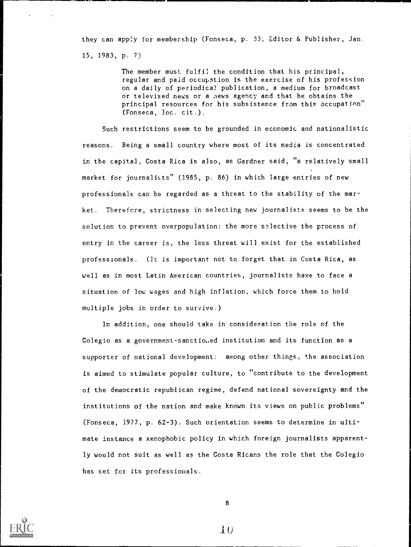they can apply for membership (Fonseca, p. 33; Editor & Publisher, Jan. 15, 1983, p. 7)

> The member must fulfil the condition that his principal, regular and paid occupstion is the exercise of his profession on a daily of periodica? publication, a medium for broadcast or televised news or a news agency and that he obtains the principal resources for his subsistence from this occupation" (Fonseca, loc. cit.).

Such restrictions seem to be grounded in economic and nationalistic reasons. Being a small country where most of its media is concentrated in the capital, Costa Rica is also, as Gardner said, "a relatively small market for journalists" (1985, p. 86) in which large entries of new professionals can be regarded as a threat to the stability of the market. Therefore, strictness in selecting new journalists seems to be the solution to prevent overpopulation: the more selective the process of entry in the career is, the less threat will exist for the established professionals. (It is important not to forget that in Costa Rica, as well as in most Latin American countries, journalists have to face a situation of low wages and high inflation, which force them to hold multiple jobs in order to survive.)

In addition, one should take in consideration the role of the Colegio as a government-sanctio.,ed institution and its function as a supporter of national development: among other things, the association is aimed to stimulate popular culture, to "contribute to the development of the democratic republican regime, defend national sovereignty and the institutions of the nation and make known its views on public problems" (Fonseca, 1977, p. 62-3). Such orientation seems to determine in ultimate instance a xenophobic policy in which foreign journalists apparently would not suit as well as the Costa Ricans the role that the Colegio has set fox its professionals.

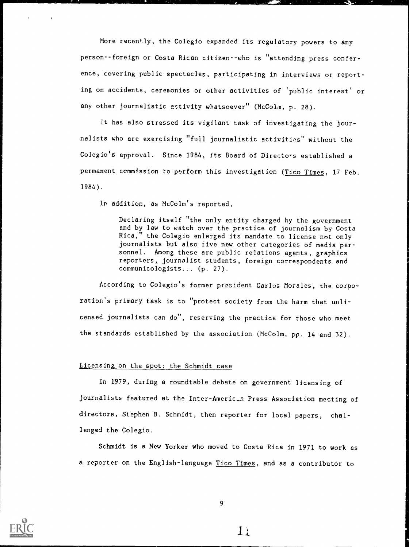More recently, the Colegio expanded its regulatory powers to any person--foreign or Costa Rican citizen--who is "attending, press conference, covering public spectacles, participating in interviews or reporting on accidents, ceremonies or other activities of 'public interest' or any other journalistic activity whatsoever" (McColm, p. 28).

It has also stressed its vigilant task of investigating the journalists who are exercising "full journalistic activities" without the Colegio's approval. Since 1984, its Board of Directors established a permanent commission to perform this investigation (Tico Times, 17 Feb. 1984).

In addition, as McColm's reported,

Declaring itself "the only entity charged by the government and by law to watch over the practice of journalism by Costa Rica," the Colegio enlarged its mandate to license not only journalists but also rive new other categories of media personnel. Among these are public relations agents, graphics reporters, journalist students, foreign correspondents and communicologists... (p. 27).

According to Colegio's former president Carlos Morales, the corporation's primary task is to "protect society from the harm that unlicensed journalists can do", reserving the practice for those who meet the standards established by the association (McColm, pp. 14 and 32).

## Licensing on the spot: the Schmidt case

In 1979, during a roundtable debate on government licensing of journalists featured at the Inter-Americ-n Press Association mecting of directors, Stephen B. Schmidt, then reporter for local papers, challenged the Colegio.

Schmidt is a New Yorker who moved to Costa Rica in 1971 to work as a reporter on the English-language Tico Times, and as a contributor to



9

 $1/$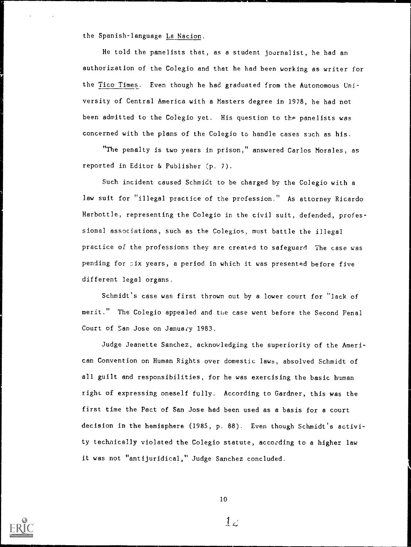the Spanish-language La Nacion.

He told the panelists that, as a student journalist, he had an authorization of the Colegio and that he had been working as writer for the Tico Times. Even though he had graduated from the Autonomous University of Central America with a Masters degree in 1978, he had not been admitted to the Colegio yet. His question to the panelists was concerned with the plans of the Colegio to handle cases such as his.

"The penalty is two years in prison," answered Carlos Morales, as reported in Editor & Publisher  $(p. 7)$ .

Such incident caused Schmidt to be charged by the Colegio with a law suit for "illegal practice of the profession." As attorney Ricardo Harbottle, representing the Colegio in the civil suit, defended, professional associations, such as the Colegios, must battle the illegal practice of the professions they are created to safeguard The case was pending for six years, a period in which it was presented before five different legal organs.

Schmidt's case was first thrown out by a lower court for "lack of merit." The Colegio appealed and the case went before the Second Penal Court of San Jose on January 1983.

Judge Jeanette Sanchez, acknowledging the superiority of the American Convention on Human Rights over domestic laws, absolved Schmidt of all guilt and responsibilities, for he was exercising the basic human right of expressing oneself fully. According to Gardner, this was the first time the Pact of San Jose had been used as a basis for a court decision in the hemisphere (1985, p. 88). Even though Schmidt's activity technically violated the Colegio statute, according to a higher law it was not "antijuridical," Judge Sanchez concluded.



 $1\epsilon$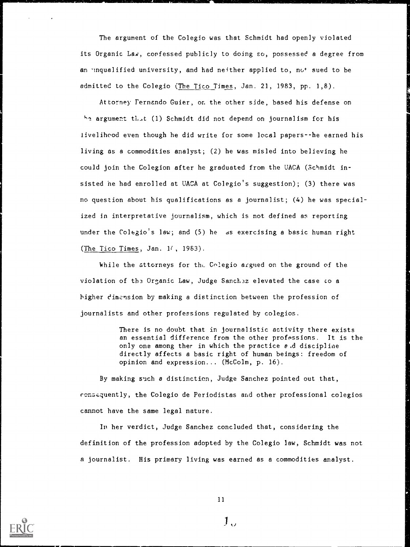The argument of the Colegio was that Schmidt had openly violated its Organic Lea, confessed publicly to doing so, possessed a degree from an unqualified university, and had neither applied to, not sued to be admitted to the Colegio (The Tico Times, Jan. 21, 1983, pp. 1,8).

Attorney Fernando Guier, on the other side, based his defense on he argument that (1) Schmidt did not depend on journalism for his livelihood even though he did write for some local papers--he earned his living as a commodities analyst; (2) he was misled into believing he could join the Colegion after he graduated from the UACA (Schmidt insisted he had enrolled at UACA at Colegio's suggestion); (3) there was no question about his qualifications as a journalist; (4) he was specialized in interpretative journalism, which is not defined as reporting under the Colegio's law; and (5) he as exercising a basic human right (The Tico Times, Jan.  $1/$ , 1983).

While the attorneys for the Colegio argued on the ground of the violation of the Organic Law, Judge Sanchez elevated the case to a higher dimension by making a distinction between the profession of journalists and other professions regulated by colegios.

> There is no doubt that in journalistic activity there exists an essential difference from the other professions. It is the only one among ther in which the practice  $e$  d discipline directly affects a basic right of human beings: freedom of opinion and expression... (McColm, p. 16).

By making such a distinction, Judge Sanchez pointed out that, consaquently, the Colegio de Periodistas and other professional colegios cannot have the same legal nature.

In her verdict, Judge Sanchez concluded that, considering the definition of the profession adopted by the Colegio law, Schmidt was not a journalist. His primary living was earned as a commodities analyst.



 $\mathbf{1}_{\Omega}$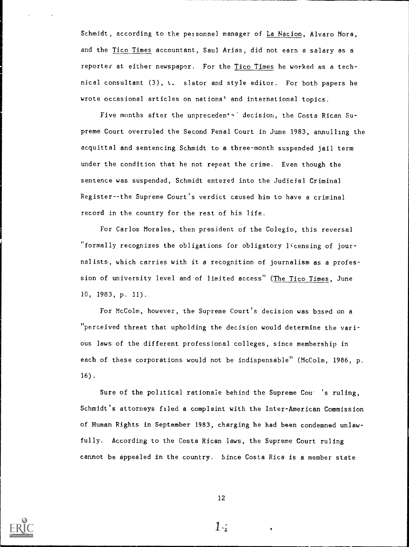Schmidt, according to the personnel manager of La Nacion, Alvaro Mora, and the Tico Times accountant, Saul Arias, did not earn a salary as a reporter at either newspaper. For the Tico Times he worked as a technical consultant (3), t, slator and style editor. For both papers he wrote occasional articles on national and international topics.

Five months after the unpreceden<sup>+</sup><sup>-</sup> decision, the Costa Rican Supreme Court overruled the Second Penal Court in June 1983, annulling the acquittal and sentencing Schmidt to a three-month suspended jail term under the condition that he not repeat the crime. Even though the sentence was suspended, Schmidt entered into the Judicial Criminal Register--the Supreme Court's verdict caused him to have a criminal record in the country for the rest of his life.

For Carlos Morales, then president of the Colegio, this reversal "formally recognizes the obligations for obligatory licensing of journalists, which carries with it a recognition of journalism as a profession of university level and of limited access" (The Tico Times, June 10, 1983, p. 11).

For McColm, however, the Supreme Court's decision was based on a "perceived threat that upholding the decision would determine the various laws of the different professional colleges, since membership in each of these corporations would not be indispensable" (McColm, 1986, p. 16).

Sure of the political rationale behind the Supreme Cou- 's ruling, Schmidt's attorneys filed a complaint with the Inter-American Commission of Human Rights in September 1983, charging he had been condemned unlawfully. According to the Costa Rican laws, the Supreme Court ruling cannot be appealed in the country. Since Costa Rica is a member state



12

 $1.5$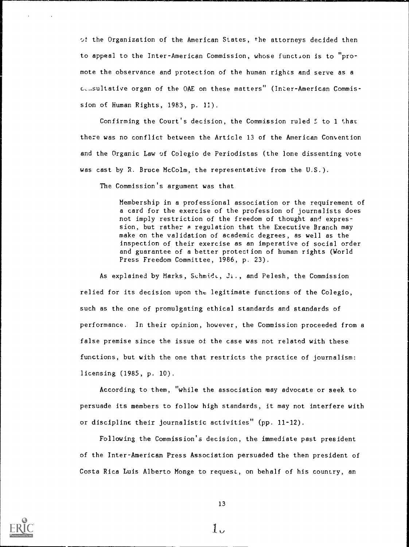$\circ$ : the Organization of the American States, the attorneys decided then to appeal to the Inter-American Commission, whose function is to "promote the observance and protection of the human rights and serve as a c,sultative organ of the OAE on these matters" (Inter-American Commission of Human Rights, 1983, p. 11).

Confirming the Court's decision, the Commission ruled 5 to 1 that there was no conflict between the Article 13 of the American Convention and the Organic Law of Colegio de Periodistas (the lone dissenting vote was cast by R. Bruce McColm, the representative from the U.S.).

The Commission's argument was that

Membership in a professional association or the requirement of a card for the exercise of the profession of journalists does not imply restriction of the freedom of thought and expression, but rather a regulation that the Executive Branch may make on the validation of academic degrees, as well as the inspection of their exercise as an imperative of social order and guarantee of a better protection of human rights (World Press Freedom Committee, 1986, p. 23).

As explained by Marks, Schmide, Ji., and Pelesh, the Commission relied for its decision upon the legitimate functions of the Colegio, such as the one of promulgating ethical standards and standards of performance. In their opinion, however, the Commission proceeded from a false premise since the issue of the case was not related with these functions, but with the one that restricts the practice of journalism: licensing (1985, p. 10).

According to them, "while the association may advocate or seek to persuade its members to follow high standards, it may not interfere with or discipline their journalistic activities" (pp. 11-12).

Following the Commission's decision, the immediate past president of the Inter-American Press Association persuaded the then president of Costa Rica Luis Alberto Monge to request, on behalf of his country, an



 $1<sub>1</sub>$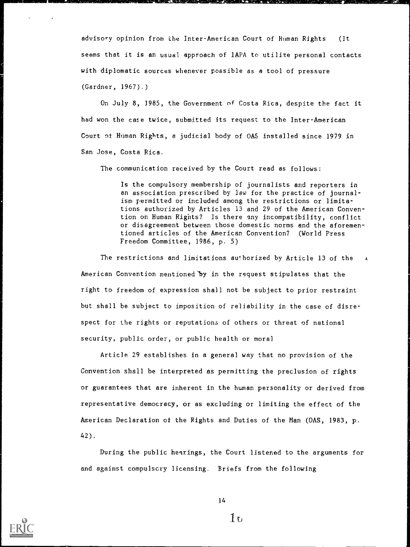advisory opinion from the Inter-American Court of Human Rights (It seems that it is an usual approach of IAPA to utilize personal contacts with diplomatic sources whenever possible as a tool of pressure (Gardner, 1967).)

On July 8, 1985, the Government of Costa Rica, despite the fact it had won the case twice, submitted its request to the Inter-American Court of Human Rights, e judicial body of OAS installed since 1979 in San Jose, Costa Rica.

The communication received by the Court read as follows:

Is the compulsory membership of journalists and reporters in an association prescribed by law for the practice of journalism permitted or included among the restrictions or limitations authorized by Articles 13 and 29 of the American Convention on Human Rights? Is there any incompatibility, conflict or disagreement between those domestic norms and the aforementioned articles of the American Convention? (World Press Freedom Committee, 1986, p. 5)

The restrictions and limitations authorized by Article 13 of the American Convention mentioned 'by in the request stipulates that the right to freedom of expression shall not be subject to prior restraint but shall be subject to imposition of reliability in the case of disrespect for the rights or reputations of others or threat of national security, public order, or public health or moral

Article 29 establishes in a general way that no provision of the Convention shall be interpreted as permitting the preclusion of rights or guarantees that are inherent in the human personality or derived from representative democracy, or as excluding or limiting the effect of the American Declaration of the Rights and Duties of the Man (OAS, 1983, p. 42).

During the public hearings, the Court listened to the arguments for and against compulsory licensing. Briefs from the following



14

 $1\,\mathrm{t}$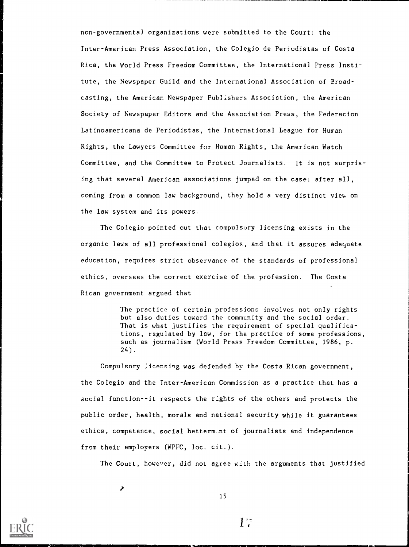non-governmental organizations were submitted to the Court: the Inter-American Press Association, the Colegio de Periodistas of Costa Rica, the World Press Freedom Committee, the International Press Institute, the Newspaper Guild and the International Association of Broadcasting, the American Newspaper Publishers Association, the American Society of Newspaper Editors and the Association Press, the Federacion Latinoamericana de Periodistas, the International League for Human Rights, the Lawyers Committee for Human Rights, the American Watch Committee, and the Committee to Protect Journalists. It is not surprising that several American associations jumped on the case: after all, coming from a common law background, they hold a very distinct view, on the law system and its powers.

The Colegio pointed out that compulsory licensing exists in the organic laws of all professional colegios, and that it assures adequate education, requires strict observance of the standards of professional ethics, oversees the correct exercise of the profession. The Costa Rican government argued that

> The practice of certain professions involves not only rights but also duties toward the community and the social order. That is what justifies the requirement of special qualifications, regulated by law, for the practice of some professions, such as journalism (World Press Freedom Committee, 1986, p.  $24$ ).

Compulsory :icensing was defended by the Costa Rican government, the Colegio and the Inter-American Commission as a practice that has a social function--it respects the rights of the others and protects the public order, health, morals and national security while it guarantees ethics, competence, social betterm\_nt of journalists and independence from their employers (WPFC, loc. cit.).

The Court, however, did not agree with the arguments that justified

X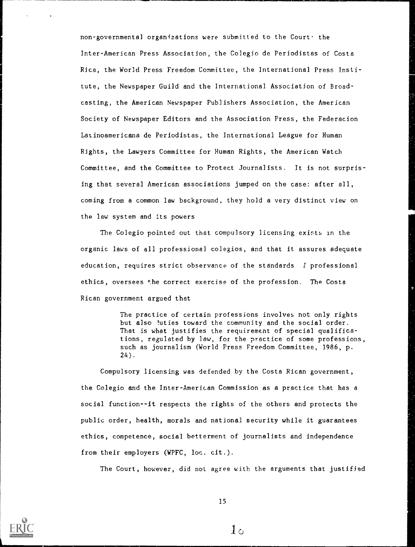non-governmental organizations were submitted to the Court. the Inter-American Press Association, the Colegio de Periodistas of Costa Rica, the World Press Freedom Committee, the International Press Institute, the Newspaper Guild and the International Association of Broadcasting, the American Newspaper Publishers Association, the American Society of Newspaper Editors and the Association Press, the Federacion Latinoamericana de Periodistas, the International League for Human Rights, the Lawyers Committee for Human Rights, the American Watch Committee, and the Committee to Protect Journalists. It is not surprising that several American associations jumped on the case: after all, coming from a common law background, they hold a very distinct view on the law system and its powers

The Colegio pointed out that compulsory licensing exists in the organic laws of all professional colegios, and that it assures adequate education, requires strict observance of the standards f professional ethics, oversees the correct exercise of the profession. The Costa Rican government argued that

> The practice of certain professions involves not only rights but also luties toward the community and the social order. That is what justifies the requirement of special qualifications, regulated by law, for the practice of some professions, such as journalism (World Press Freedom Committee, 1986, p. 24).

Compulsory licensing was defended by the Costa Rican government, the Colegio and the Inter-American Commission as a practice that has a social function--it respects the rights of the others and protects the public order, health, morals and national security while it guarantees ethics, competence, social betterment of journalists and independence from their employers (WPFC, loc. cit.).

The Court, however, did not agree with the arguments that justified

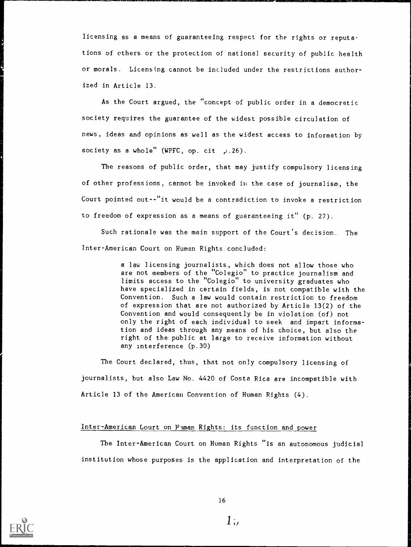licensing as a means of guaranteeing respect for the rights or reputations of others or the protection of national security of public health or morals. Licensing cannot be included under the restrictions authorized in Article 13.

As the Court argued, the "concept of public order in a democratic society requires the guarantee of the widest possible circulation of news, ideas and opinions as well as the widest access to information by society as a whole" (WPFC, op. cit  $\rho$ .26).

The reasons of public order, that may justify compulsory licensing of other professions, cannot be invoked in the case of journalism, the Court pointed out--"it would be a contradiction to invoke a restriction to freedom of expression as a means of guaranteeing it" (p. 27).

Such rationale was the main support of the Court's decision. The Inter-American Court on Human Rights concluded:

> a law licensing journalists, which does not allow those who are not members of the "Colegio" to practice journalism and limits access to the "Colegio" to university graduates who have specialized in certain fields, is not compatible with the Convention. Such a law would contain restriction to freedom of expression that are not authorized by Article 13(2) of the Convention and would consequently be in violation (of) not only the right of each individual to seek and impart information and ideas through any means of his choice, but also the right of the public at large to receive information without any interference (p.30)

The Court declared, thus, that not only compulsory licensing of journalists, but also Law No. 4420 of Costa Rica are incompatible with Article 13 of the American Convention of Human Rights (4).

## Inter-American Court on Human Rights: its function and power

The Inter-American Court on Human Rights "is an autonomous judicial institution whose purposes is the application and interpretation of the



 $1$ ;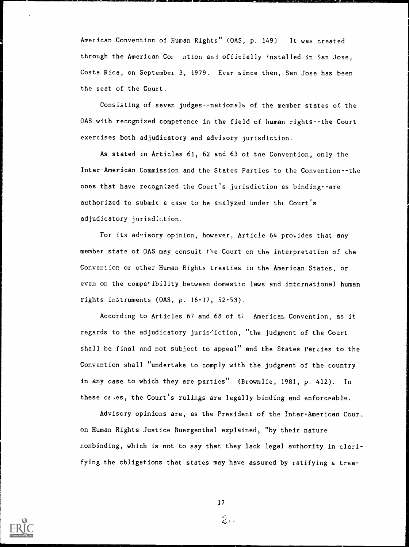American Convention of Human Rights" (OAS, p. 149) It was created through the American Cor ntion and officially installed in San Jose, Costa Rica, on September 3, 1979. Ever since then, San Jose has been the seat of the Court.

Consisting of seven judges--nationals of the member states of the OAS with recognized competence in the field of human rights--the Court exercises both adjudicatory and advisory jurisdiction.

As stated in Articles 61, 62 and 63 of tne Convention, only the Inter-American Commission and the States Parties to the Convention--the ones that have recognized the Court's jurisdiction as binding--are authorized to submit a case to be analyzed under the. Court's adjudicatory jurisdiction.

For its advisory opinion, however, Article 64 provides that any member state of OAS may consult the Court on the interpretation of the Convention or other Human Rights treaties in the American States, or even on the compa\*ibility between domestic laws and intcrnational human rights instruments (OAS, p. 16-17, 52-53).

According to Articles 67 and 68 of ti American Convention, as it regards to the adjudicatory juris iction, "the judgment of the Court shall be final and not subject to appeal" and the States Parties to the Convention shall "undertake to comply with the judgment of the country in any case to which they are parties" (Brownlie, 1981, p. 412). In these ct,es, the Court's rulings are legally binding and enforceable.

Advisory opinions are, as the President of the Inter-American Couri.. on Human Rights Justice Buergenthal explained, "by their nature nonbinding, which is not to say that they lack legal authority in clarifying the obligations that states may have assumed by ratifying a trea-



 $\hat{z}$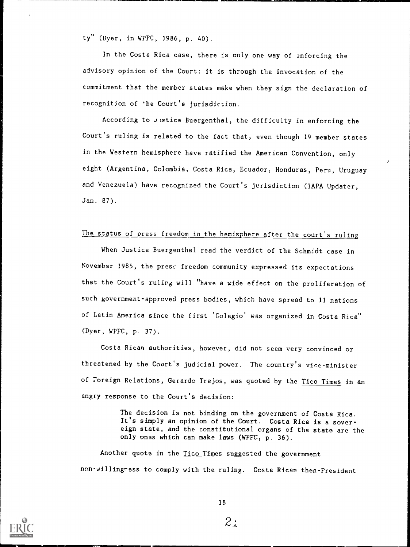ty" (Dyer, in WPFC, 3986, p. 40).

In the Costa Rica case, there is only one way of enforcing the advisory opinion of the Court: it is through the invocation of the commitment that the member states make when they sign the declaration of recognition of 'he Court's jurisdiction.

According to Jistice Buergenthal, the difficulty in enforcing the Court's ruling is related to the fact that, even though 19 member states in the Western hemisphere have ratified the American Convention, only eight (Argentina, Colombia, Costa Rica, Ecuador. Honduras, Peru, Uruguay and Venezuela) have recognized the Court's jurisdiction (IAPA Updater, Jan. 87).

### The status of press freedom in the hemisphere after the court's ruling

When Justice Buergenthal read the verdict of the Schmidt case in November 1985, the prese freedom community expressed its expectations that the Court's ruling will "have a wide effect on the proliferation of such government-approved press bodies, which have spread to 12 nations of Latin America since the first 'Colegio' was organized in Costa Rica" (Dyer, WPFC, p. 37).

Costa Rican authorities, however, did not seem very convinced or threatened by the Court's judicial power. The country's vice-minister of Foreign Relations, Gerardo Trejos, was quoted by the Tico Times in an angry response to the Court's decision:

> The decision is not binding on the government of Costa Rica. It's simply an opinion of the Court. Costa Rica is a sovereign state, and the constitutional organs of the state are the only ones which can make laws (WPFC, p. 36).

Another quote in the Tico Times suggested the government non-willingress to comply with the ruling. Costa Rican then-President



 $2_{\pm}$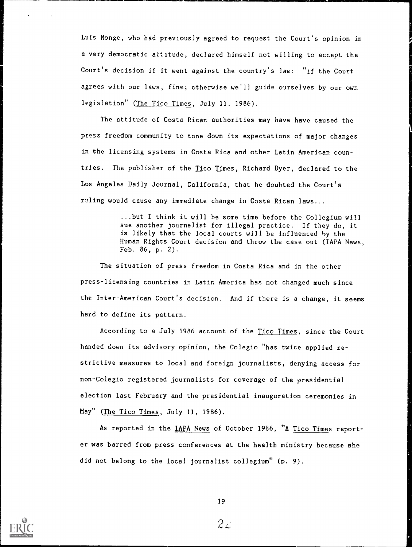Luis Monge, who had previously agreed to request the Court's opinion in a very democratic attitude, declared himself not willing to accept the Court's decision if it went against the country's law: "if the Court agrees with our laws, fine; otherwise we'll guide ourselves by our own legislation" (The Tico Times, July 11. 1986).

The attitude of Costa Rican authorities may have have caused the press freedom community to tone down its expectations of major changes in the licensing systems in Costa Rica and other Latin American countries. The publisher of the Tico Times, Richard Dyer, declared to the Los Angeles Daily Journal, California, that he doubted the Court's ruling would cause any immediate change in Costa Rican laws...

> ...but I think it will be some time before the Collegium will sue another journalist for illegal practice. If they do, it is likely that the local courts will be influenced by the Human Rights Court decision and throw the case out (IAPA News, Feb. 86, p. 2).

The situation of press freedom in Costa Rica and in the other press-licensing countries in Latin America has not changed much since the Inter-American Court's decision. And if there is a change, it seems hard to define its pattern.

According to a July 1986 account of the Tico Times, since the Court handed down its advisory opinion, the Colegio "has twice applied re strictive measures to local and foreign journalists, denying access for non-Colegio registered journalists for coverage of the presidential election last February and the presidential inauguration ceremonies in May" (The Tico Times, July 11, 1986).

As reported in the IAPA News of October 1986, "A Tico Times reporter was barred from press conferences at the health ministry because she did not belong to the local journalist collegium" (p. 9).



 $2\omega$  , and the set of  $\omega$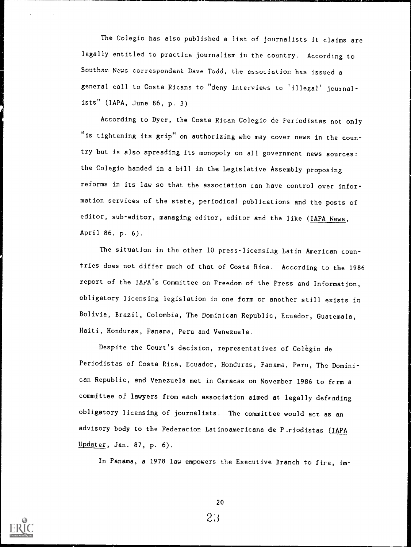The Colegio has also published a list of journalists it claims are legally entitled to practice journalism in the country. According to Southam News correspondent Dave Todd, the association has issued a general call to Costa Ricans to "deny interviews to 'illegal' journalists" (IAPA, June 86, p. 3)

According to Dyer, the Costa Rican Colegio de Periodistas not only "is tightening its grip" on authorizing who may cover news in the country but is also spreading its monopoly on all government news sources: the Colegio handed in a bill in the Legislative Assembly proposing reforms in its law so that the association can have control over information services of the state, periodical publications and the posts of editor, sub-editor, managing editor, editor and the like (IAPA News, April 86, p. 6).

The situation in the other 10 press-licensing Latin American coun tries does not differ much of that of Costa Rica. According to the 1986 report of the IAFA's Committee on Freedom of the Press and Information, obligatory licensing legislation in one form or another still exists in Bolivia, Brazil, Colombia, The Dominican Republic, Ecuador, Guatemala, Haiti, Honduras, Panama, Peru and Venezuela.

Despite the Court's decision, representatives of Colegio de Periodistas of Costa Rica, Ecuador, Honduras, Panama, Peru, The Dominican Republic, and Venezuela met in Caracas on November 1986 to fcrm <sup>a</sup> committee of lawyers from each association aimed at legally defending obligatory licensing of journalists. The committee would act as an advisory body to the Federacion Latinoamericana de P<sub>riodistas</sub> (IAPA Updater, Jan. 87, p. 6).

In Panama, a 1978 law empowers the Executive Branch to fire, im-

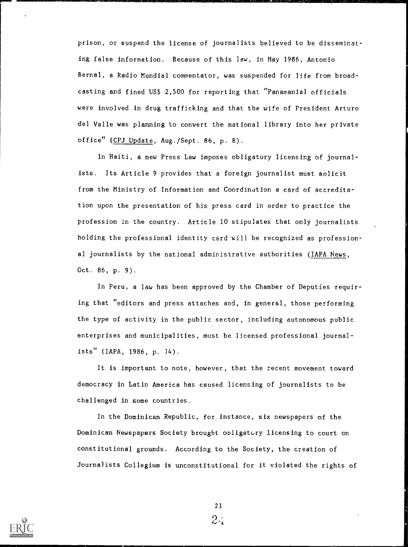prison, or suspend the license of journalists believed to be disseminating false information. Because of this law, in May 1986, Antonio Bernal, a Radio Mundial commentator, was suspended for life from broadcasting and fined US\$ 2,500 for reporting that "Panamanial officials were involved in drug trafficking and that the wife of President Arturo del Valle was planning to convert the national library into her private office" (CPJ Update, Aug./Sept. 86, p. 8).

In Haiti, a new Press Law imposes obligatory licensing of journalists. Its Article 9 provides that a foreign journalist must solicit from the Ministry of Information and Coordination a card of accreditation upon the presentation of his press card in order to practice the profession in the country. Article 10 stipulates that only journalists holding the professional identity card will be recognized as professional journalists by the national administrative authorities (IAPA News, Oct. 86, p. 9).

In Peru, a law has been approved by the Chamber of Deputies requiring that "editors and press attaches and, in general, those performing the type of activity in the public sector, including autonomous public enterprises and municipalities, must be licensed professional journal $its''$  (IAPA, 1986, p. 14).

It is important to note, however, that the recent movement toward democracy in Latin America has caused licensing of journalists to be challenged in some countries.

In the Dominican Republic, for instance, six newspapers of the Dominican Newspapers Society brought obligatory licensing to court on constitutional grounds. According to the Society, the creation of Journalists Collegium is unconstitutional for it violated the rights of



21 $2\cdot$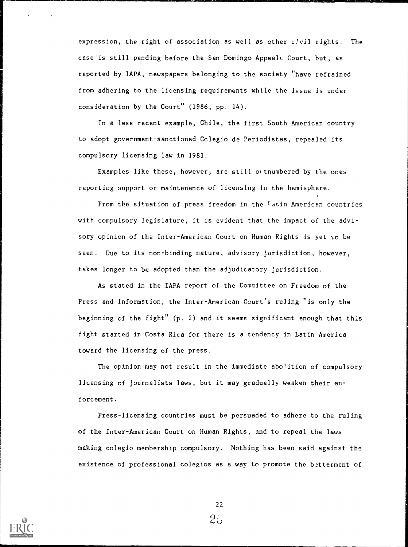expression, the right of association as well as other c'vil rights. The case is still pending before the San Domingo Appeals Court, but, as reported by IAPA, newspapers belonging to the society "have refrained from adhering to the licensing requirements while the issue is under consideration by the Court" (1986, pp. 14).

In a less recent example, Chile, the first South American country to adopt government-sanctioned Colegio de Periodistas, repealed its compulsory licensing law in 1981.

Examples like these, however, are still ow tnumbered by the ones reporting support or maintenance of licensing in the hemisphere.

From the situation of press freedom in the <sup>J</sup>atin American countries with compulsory legislature, it is evident that the impact of the advisory opinion of the Inter-American Court on Human Rights is yet to be seen. Due to its non-binding nature, advisory jurisdiction, however, takes longer to be adopted than the adjudicatory jurisdiction.

As stated in the IAPA report of the Committee on Freedom of the Press and Information, the Inter-American Court's ruling "is only the beginning of the fight" (p. 2) and it seems significant enough that this fight started in Costa Rica for there is a tendency in Latin America toward the licensing of the press.

The opinion may not result in the immediate abolition of compulsory licensing of journalists laws, but it may gradually weaken their enforcement.

Press-licensing countries must be persuaded to adhere to the ruling of the Inter-American Court on Human Rights, and to repeal the laws making colegio membership compulsory. Nothing has been said against the existence of professional colegios as a way to promote the betterment of



 $22$ 

 $2\mathcal{L}$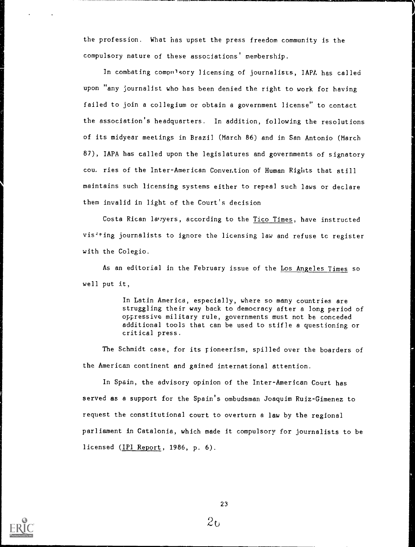the profession. What has upset the press freedom community is the compulsory nature of these associations' membership.

1

In combating compulsory licensing of journalists, IAPL has called upon "any journalist who has been denied the right to work for having failed to join a collegium or obtain a government license" to contact the association's headquarters. In addition, following the resolutions of its midyear meetings in Brazil (March 86) and in San Antonio (March 87), IAPA has called upon the legislatures and governments of signatory cou. ries of the Inter-American Convention of Human Rights that still maintains such licensing systems either to repeal such laws or declare them invalid in light of the Court's decision

Costa Rican lawyers, according to the Tico Times, have instructed vis<sup>4+</sup>ing journalists to ignore the licensing law and refuse tc register with the Colegio.

As an editorial in the February issue of the Los Angeles Times so well put it,

> In Latin America, especially, where so many countries are struggling their way back to democracy after a long period of oppressive military rule, governments must not be conceded additional tools that can be used to stifle a questioning or critical press.

The Schmidt case, for its rioneerism, spilled over the boarders of the American continent and gained international attention.

In Spain, the advisory opinion of the Inter-American Court has served as a support for the Spain's ombudsman Joaquim Ruiz-Gimenez to request the constitutional court to overturn a law by the regional parliament in Catalonia, which made it compulsory for journalists to be licensed (IPI Report, 1986, p. 6).



 $26$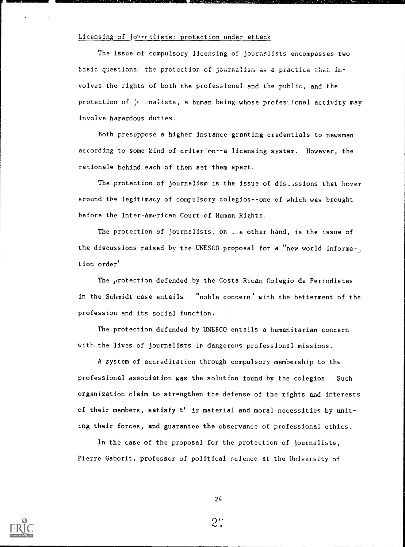### Licensing of journ sists: protection under attack

The issue of compulsory licensing of journalists encompasses two basic questions: the protection of journalism as a practice that involves the rights of both the professional and the public, and the protection of  $\frac{1}{2}$  inalists, a human being whose professional activity may involve hazardous duties.

Both presuppose a higher instance granting credentials to newsmen according to some kind of criter'nn--a licensing system. However, the rationale behind each of them set them apart.

The protection of journalism is the issue of  $dis\_s$ sions that hover around the legitimacy of comrulsory colegios--one of which was brought before the Inter-American Court of Human Rights.

The protection of journalists, on ...e other hand, is the issue of the discussions raised by the UNESCO proposal for a "new world informa-, tion order'

The protection defended by the Costa Rican Colegio de Periodistas in the Schmidt case entails "noble concern" with the betterment of the profession and its social function.

The protection defended by UNESCO entails a humanitarian concern with the lives of journalists in dangerous professional missions.

A system of accreditation through compulsory membership to the professional association was the solution found by the colegios. Such organization claim to strangthen the defense of the rights and interests of their members, satisfy t' it material and moral necessities by uniting their forces, and guarantee the observance of professional ethics.

In the case of the proposal for the protection of journalists, Pierre Gaborit, professor of political science at the University of



24

 $2^{\star}$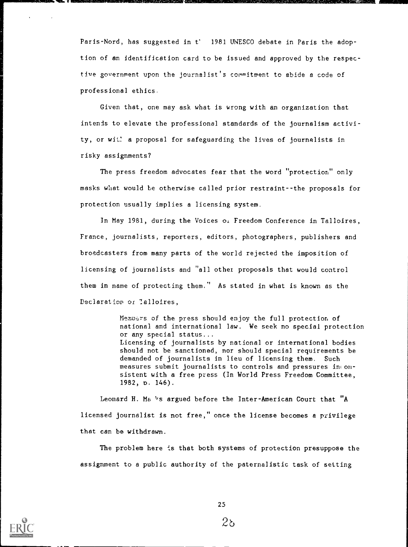Paris-Nord, has suggested in t' 1981 UNESCO debate in Paris the adoption of an identification card to be issued and approved by the respective government upon the journalist's commitment to abide a code of professional ethics.

Given that, one may ask what is wrong with an organization that intends to elevate the professional standards of the journalism activity, or wit! a proposal for safeguarding the lives of journalists in risky assignments?

The press freedom advocates fear that the word "protection" only masks what would be otherwise called prior restraint--the proposals for protection usually implies a licensing system.

In May 1981, during the Voices of Freedom Conference in Talloires, France, journalists, reporters, editors, photographers, publishers and broadcasters from many parts of the world rejected the imposition of licensing of journalists and "all other proposals that would control them in name of protecting them." As stated in what is known as the Declaration or Talloires,

> Memuars of the press should enjoy the full protection of national and international law. We seek no special protection or any special status... Licensing of journalists by national or international bodies should not be sanctioned, nor should special requirements be demanded of journalists in lieu of licensing them. Such measures submit journalists to controls and pressures in onsistent with a free press (In World Press Freedom Committee, 1982, D. 146).

Leonard H. Ma 's argued before the Inter-American Court that "A licensed journalist is not free," once the license becomes a privilege that can be withdrawn.

The problem here is that both systems of protection presuppose the assignment to a public authority of the paternalistic task of setting



25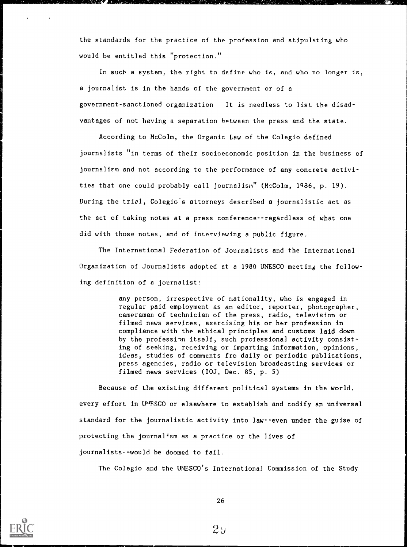the standards for the practice of the profession and stipulating who would be entitled this "protection."

In such a system, the right to define who is, and who no longer is, a journalist is in the hands of the government or of a government-sanctioned organization It is needless to list the disadvantages of not having a separation between the press and the state.

According to McColm, the Organic Law of the Colegio defined journalists "in terms of their socioeconomic position in the business of journalism and not according to the performance of any concrete activities that one could probably call journalism" (McColm, 1986, p. 19). During the triel, Colegio's attorneys described a journalistic act as the act of taking notes at a press conference--regardless of what one did with those notes, and of interviewing a public figure.

The International Federation of Journalists and the International Organization of Journalists adopted at a 1980 UNESCO meeting the following definition of a journalist:

> any person, irrespective of nationality, who is engaged in regular paid employment as an editor, reporter, photographer, cameraman of technician of the press, radio, television or filmed news services, exercising his or her profession in compliance with the ethical principles and customs laid down by the profession itself, such professional activity consisting of seeking, receiving or imparting information, opinions, ideas, studies of comments fro daily or periodic publications, press agencies, radio or television broadcasting services or filmed news services (IOJ, Dec. 85, p. 5)

Because of the existing different political systems in the world, every effort in IPIFSCO or elsewhere to establish and codify an universal standard for the journalistic activity into law--even under the guise of protecting the journal'sm as a practice or the lives of journalists--would be doomed to fail.

The Colegio and the UNESCO's International Commission of the Study



26

 $2y$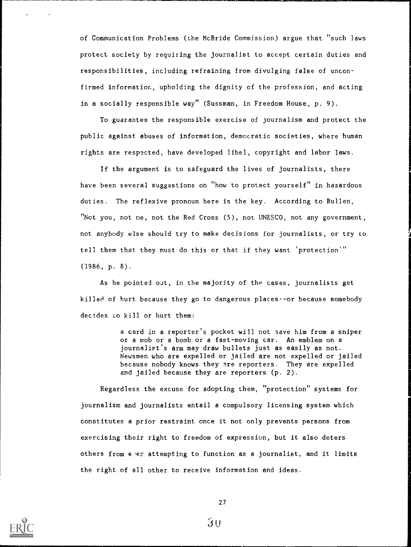of Communication Problems (the McBride Commission) argue that "such laws protect society by requiring the journalist to accept certain duties and responsibilities, including refraining from divulging false of unconfirmed information, upholding the dignity of the profession, and acting in a socially responsible way" (Sussman, in Freedom House, p. 9).

To guarantee the responsible exercise of journalism and protect the public against abuses of information, democratic societies, where human rights are respected, have developed libel, copyright and labor laws.

If the argument is to safeguard the lives of journalists, there have been several suggestions on "how to protect yourself" in hazardous duties. The reflexive pronoun here is the key. According to Bullen, "Not you, not ne, not the Red Cross (5), not UNESCO, not any government, not anybody else should try to make decisions for journalists, or try to tell them that they must do this or that if they want 'protection" (1986, p. 8).

As he pointed out, in the majority of the cases, journalists get killed of hurt because they go to dangerous places--or because somebody decides to kill or hurt them:

> a card in a reporter's pocket will not save him from a sniper or a mob or a bomb or a fast-moving car. An emblem on a journalist's arm may draw bullets just as easily as not. Newsmen who are expelled or jailed are not expelled or jailed because nobody knows they are reporters. They are expelled and jailed because they are reporters (p. 2).

Regardless the excuse for adopting them, "protection" systems for journalism and journalists entail a compulsory licensing system which constitutes a prior restraint once it not only prevents persons from exercising their right to freedom of expression, but it also deters others from e'er attempting to function as a journalist, and it limits the right of all other to receive information and ideas.

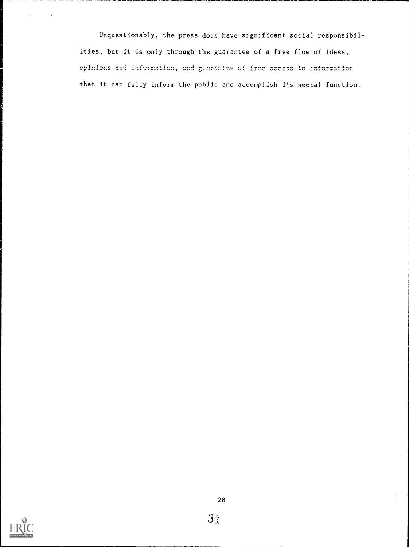Unquestionably, the press does have significant social responsibilities, but it is only through the guarantee of a free flow of ideas, opinions and information, and gtarantee of free access to information that it can fully inform the public and accomplish its social function.



For the contract of the contract of the contract of the contract of the contract of the contract of the contract of the contract of the contract of the contract of the contract of the contract of the contract of the contra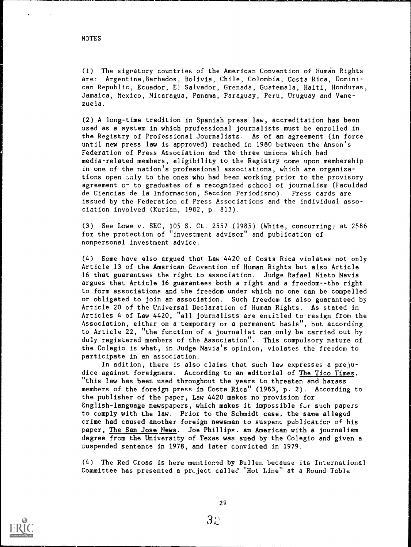(1) The signatory countries of the American Convention of Human Rights are: Argentina,Barbados, Bolivia, Chile, Colombia, Costa Rica, Dominican Republic, Ecuador, El Salvador, Grenada, Guatemala, Haiti, Honduras, Jamaica, Mexico, Nicaragua, Panama, Paraguay, Peru, Uruguay and Venezuela.

(2) A long-time tradition in Spanish press law, accreditation has been used as a system in which professional journalists must be enrolled in the Registry of Professional Journalists. As of an agreement (in force until new press law is approved) reached in 1980 between the Anson's Federation of Press Association and the three unions which had media-related members, eligibility to the Registry come upon membership in one of the nation's professional associations, which are organizations open anly to the ones who had been working prior to the provisory agreement or to graduates of a recognized school of journalism (Faculdad de Ciencias de la Informacion, Seccion Periodismo). Press cards are issued by the Federation of Press Associations and the individual association involved (Kurian, 1982, p. 813).

(3) See Lowe v. SEC, 105 S. Ct. 2557 (1985) (White, concurring) at 2586 for the protection of "investment advisor" and publication of nonpersonal investment advice.

(4) Some have also argued that Law 4420 of Costs Rica violates not only Article 13 of the American Convention of Human Rights but also Article 16 that guarantees the right to association. Judge Rafael Nieto Nevis argues that Article 16 guarantees both a right and a freedom--the right to form associations and the freedom under which no one can be compelled or obligated to join an association. Such freedom is also guaranteed by Article 20 of the Universal Declaration of Human Rights. As stated in Articles 4 of Law 4420, "all journalists are entitled to resign from the Association, either on a temporary or a permanent basis", but according to Article 22, "the function of a journalist can only be carried out by duly registered members of the Association". This compulsory nature of the Colegio is what, in Judge Navia's opinion, violates the freedom to participate in an association.

In adition, there is also claims that such law expresses a prejudice against foreigners. According to an editorial of The Tico Times, "this law has been used throughout the years to threaten and harass members of the foreign press in Costa Rica" (1983, p. 2). According to the publisher of the paper, Law 4420 makes no provision for English-language newspapers, which makes it impossible for such papers to comply with the law. Prior to the Schmidt case, the same alleged crime had caused another foreign newsman to suspenc, publication of his paper, The San Jose News. Joe Phillips. an American with a journalism degree from the University of Texas was sued by the Colegio and given a suspended sentence in 1978, and later convicted in 1979.

(4) The Red Cross is here mention'd by Bullen because its International Committee has presented a pruject called "Hot Line" at a Round Table

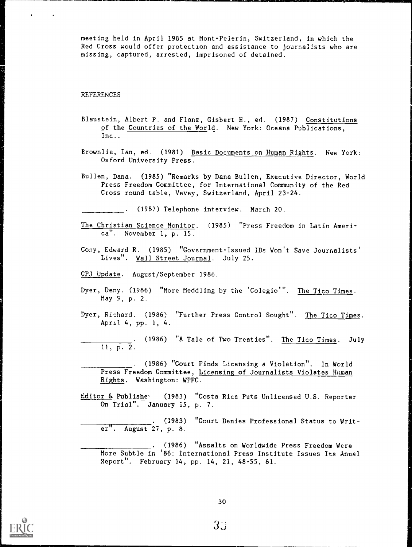meeting held in April 1985 at Mont-Pelerin, Switzerland, in which the Red Cross would offer protection and assistance to journalists who are missing, captured, arrested, imprisoned of detained.

### REFERENCES

- Blaustein, Albert P. and Flanz, Gisbert H., ed. (1987) Constitutions of the Countries of the World. New York: Oceans Publications, Inc..
- Brownlie, Ian, ed. (1981) Basic Documents on Human Rights. New York: Oxford University Press.
- Bullen, Dana. (1985) "Remarks by Dana Bullen, Executive Director, World Press Freedom Committee, for International Community of the Red Cross round table, Vevey, Switzerland, April 23-24.

. (1987) Telephone interview. March 20.

- The Christian Science Monitor. (1985) "Press Freedom in Latin America". November 1, p. 15.
- Cony, Edward R. (1985) "Government-Issued IDs Won't Save Journalists' Lives". Wall Street Journal. July 25.
- CPJ Update. August/September 1986.
- Dyer, Deny. (1986) "More Meddling by the 'Colegio". The Tico Times. May 9, p. 2.
- Dyer, Richard. (1986) "Further Press Control Sought". The Tico Times. April 4, pp. 1, 4.
- . (1986) "A Tale of Two Treaties". The Tico Times. July 11, p. 2.
- . (1986) "Court Finds Licensing a Violation". In World Press Freedom Committee, Licensing of Journalists Violates Human Rights. Washington: WPFC.
- Editor & Publishe<sup>.</sup> (1983) "Costa Rica Puts Unlicensed U.S. Reporter On Trial". January 15, p. 7.
	- . (1983) "Court Denies Professional Status to Writer". August 27, p. 8.
	- . (1986) "Assalts on Worldwide Press Freedom Were More Subtle in '86: International Press Institute Issues Its Anual Report". February 14, pp. 14, 21, 48-55, 61.

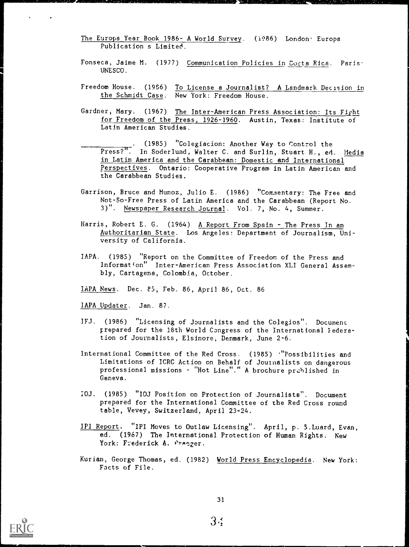- The Europa Year Book 1986- A World Survey. (1986) London. Europa Publication s Limited.
- Fonseca, Jaime M. (1977) Communication Policies in Costa Rica. Paris. UNESCO.
- Freedom House. (1986) To License a Journalist? A Landmark Decision in the Schmidt Case. New York: Freedom House.
- Gardner, Mary. (1967) The Inter-American Press Association: Its Fight for Freedom of the Press, 1926-1960. Austin, Texas: Institute of Latin American Studies.
- . (1985) "Colegiacion: Another Way to Control the Press?". In Soderlund, Walter C. and Surlin, Stuart H., ed. <u>Media</u> in Latin America and the Carabbean: Domestic and International Perspectives. Ontario: Cooperative Program in Latin American and the Carabbean Studies.
- Garrison, Bruce and Munoz, Julio E. (1986) "Commentary: The Free and Not-So-Free Press of Latin America and the Carabbean (Report No. 3)". Newspaper Research Journal. Vol. 7, No. 4, Summer.
- Harris, Robert E. G. (1964) A Report From Spain The Press In an Authoritarian State. Los Angeles: Department of Journalism, University of California.
- IAPA. (1985) "Report on the Committee of Freedom of the Press and Information" Inter-American Press Association XLI General Assembly, Cartagena, Colombia, October.
- IAPA News. Dec. es, Feb. 86, April 86, Oct. 86
- IAPA Updater. Jan. 87.
- IFJ. (1986) "Licensing of Journalists and the Colegios". Document prepared for the 18th World Congress of the International Iederation of Journalists, Elsinore, Denmark, June 2-6.
- International Committee of the Red Cross. (1985) \*"Possibilities and Limitations of ICRC Action on Behalf of Jouinalists on dangerous professional missions - "Hot Line"." A brochure prchlished in Geneva.
- I0J. (1985) "IOJ Position on Protection of Journalists". Document prepared for the International Committee of the Red Cross round table, Vevey, Switzerland, April 23-24.
- IPI Report. "IPI Moves to Outlaw Licensing". April, p. 5.Luard, Evan, ed. (1967) The International Protection of Human Rights. New York: Frederick A. Praeger.
- Kurian, George Thomas, ed. (1982) World Press Encyclopedia. New York: Facts of File.